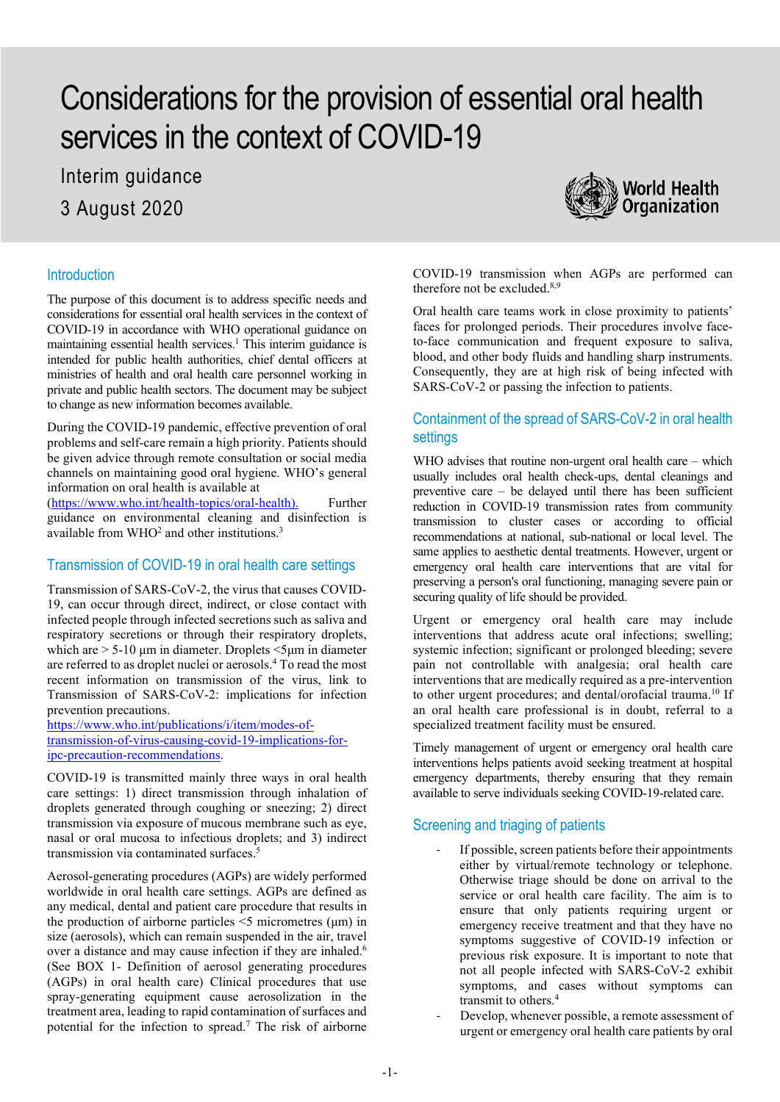# Considerations for the provision of essential oral health services in the context of COVID-19

Interim guidance 3 August 2020



## **Introduction**

The purpose of this document is to address specific needs and considerations for essential oral health services in the context of COVID-19 in accordance with WHO operational guidance on maintaining essential health services.<sup>1</sup> This interim guidance is intended for public health authorities, chief dental officers at ministries of health and oral health care personnel working in private and public health sectors. The document may be subject to change as new information becomes available.

During the COVID-19 pandemic, effective prevention of oral problems and self-care remain a high priority. Patients should be given advice through remote consultation or social media channels on maintaining good oral hygiene. WHO's general information on oral health is available at

[\(https://www.who.int/health-topics/oral-health\)](https://www.who.int/health-topics/oral-health). Further guidance on environmental cleaning and disinfection is available from  $WHO^2$  and other institutions.<sup>3</sup>

## Transmission of COVID-19 in oral health care settings

Transmission of SARS-CoV-2, the virus that causes COVID-19, can occur through direct, indirect, or close contact with infected people through infected secretions such as saliva and respiratory secretions or through their respiratory droplets, which are  $> 5-10 \mu m$  in diameter. Droplets  $\leq 5 \mu m$  in diameter are referred to as droplet nuclei or aerosols.4 To read the most recent information on transmission of the virus, link to Transmission of SARS-CoV-2: implications for infection prevention precautions.

[https://www.who.int/publications/i/item/modes-of](https://www.who.int/publications/i/item/modes-of-transmission-of-virus-causing-covid-19-implications-for-ipc-precaution-recommendations)[transmission-of-virus-causing-covid-19-implications-for](https://www.who.int/publications/i/item/modes-of-transmission-of-virus-causing-covid-19-implications-for-ipc-precaution-recommendations)[ipc-precaution-recommendations.](https://www.who.int/publications/i/item/modes-of-transmission-of-virus-causing-covid-19-implications-for-ipc-precaution-recommendations)

COVID-19 is transmitted mainly three ways in oral health care settings: 1) direct transmission through inhalation of droplets generated through coughing or sneezing; 2) direct transmission via exposure of mucous membrane such as eye, nasal or oral mucosa to infectious droplets; and 3) indirect transmission via contaminated surfaces. 5

Aerosol-generating procedures (AGPs) are widely performed worldwide in oral health care settings. AGPs are defined as any medical, dental and patient care procedure that results in the production of airborne particles  $\leq$ 5 micrometres ( $\mu$ m) in size (aerosols), which can remain suspended in the air, travel over a distance and may cause infection if they are inhaled.<sup>6</sup> (See BOX 1- Definition of aerosol generating procedures (AGPs) in oral health care) Clinical procedures that use spray-generating equipment cause aerosolization in the treatment area, leading to rapid contamination of surfaces and potential for the infection to spread.7 The risk of airborne COVID-19 transmission when AGPs are performed can therefore not be excluded.<sup>8,9</sup>

Oral health care teams work in close proximity to patients' faces for prolonged periods. Their procedures involve faceto-face communication and frequent exposure to saliva, blood, and other body fluids and handling sharp instruments. Consequently, they are at high risk of being infected with SARS-CoV-2 or passing the infection to patients.

# Containment of the spread of SARS-CoV-2 in oral health settings

WHO advises that routine non-urgent oral health care – which usually includes oral health check-ups, dental cleanings and preventive care – be delayed until there has been sufficient reduction in COVID-19 transmission rates from community transmission to cluster cases or according to official recommendations at national, sub-national or local level. The same applies to aesthetic dental treatments. However, urgent or emergency oral health care interventions that are vital for preserving a person's oral functioning, managing severe pain or securing quality of life should be provided.

Urgent or emergency oral health care may include interventions that address acute oral infections; swelling; systemic infection; significant or prolonged bleeding; severe pain not controllable with analgesia; oral health care interventions that are medically required as a pre-intervention to other urgent procedures; and dental/orofacial trauma.10 If an oral health care professional is in doubt, referral to a specialized treatment facility must be ensured.

Timely management of urgent or emergency oral health care interventions helps patients avoid seeking treatment at hospital emergency departments, thereby ensuring that they remain available to serve individuals seeking COVID-19-related care.

# Screening and triaging of patients

- If possible, screen patients before their appointments either by virtual/remote technology or telephone. Otherwise triage should be done on arrival to the service or oral health care facility. The aim is to ensure that only patients requiring urgent or emergency receive treatment and that they have no symptoms suggestive of COVID-19 infection or previous risk exposure. It is important to note that not all people infected with SARS-CoV-2 exhibit symptoms, and cases without symptoms can transmit to others. 4
- Develop, whenever possible, a remote assessment of urgent or emergency oral health care patients by oral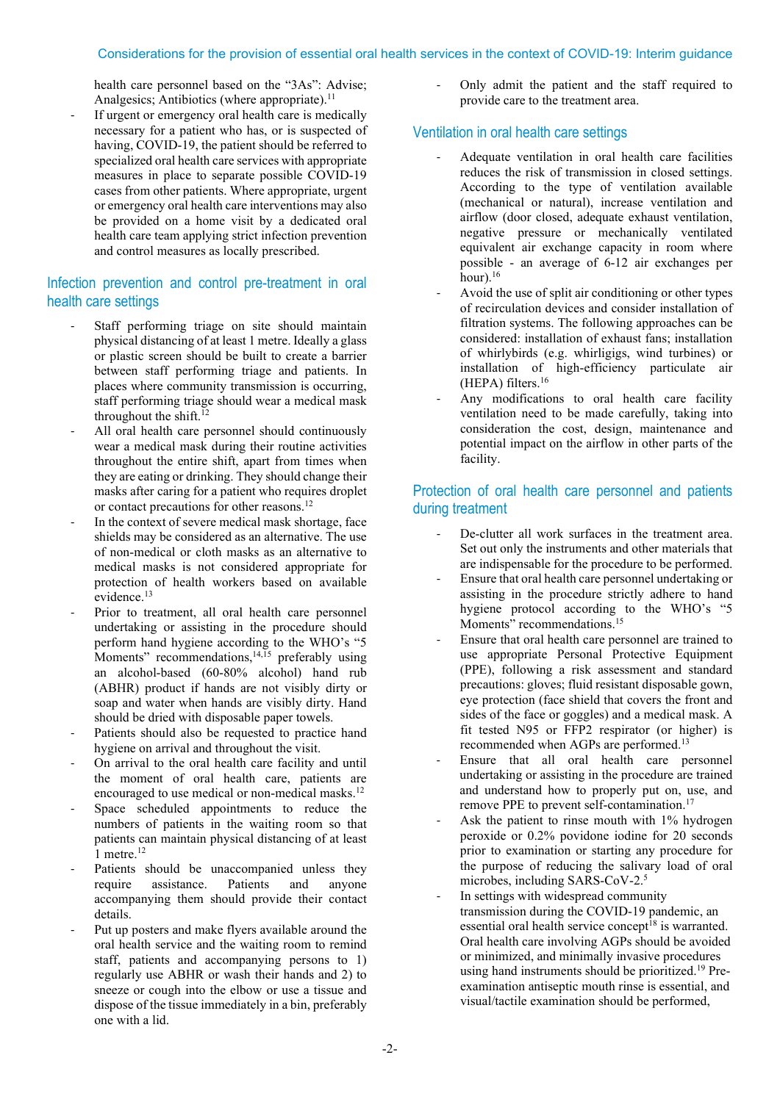#### Considerations for the provision of essential oral health services in the context of COVID-19: Interim guidance

health care personnel based on the "3As": Advise; Analgesics: Antibiotics (where appropriate). $11$ 

If urgent or emergency oral health care is medically necessary for a patient who has, or is suspected of having, COVID-19, the patient should be referred to specialized oral health care services with appropriate measures in place to separate possible COVID-19 cases from other patients. Where appropriate, urgent or emergency oral health care interventions may also be provided on a home visit by a dedicated oral health care team applying strict infection prevention and control measures as locally prescribed.

# Infection prevention and control pre-treatment in oral health care settings

- Staff performing triage on site should maintain physical distancing of at least 1 metre. Ideally a glass or plastic screen should be built to create a barrier between staff performing triage and patients. In places where community transmission is occurring, staff performing triage should wear a medical mask throughout the shift.<sup>12</sup>
- All oral health care personnel should continuously wear a medical mask during their routine activities throughout the entire shift, apart from times when they are eating or drinking. They should change their masks after caring for a patient who requires droplet or contact precautions for other reasons.12
- In the context of severe medical mask shortage, face shields may be considered as an alternative. The use of non-medical or cloth masks as an alternative to medical masks is not considered appropriate for protection of health workers based on available evidence. 13
- Prior to treatment, all oral health care personnel undertaking or assisting in the procedure should perform hand hygiene according to the WHO's "5 Moments" recommendations, $14,15$  preferably using an alcohol-based (60-80% alcohol) hand rub (ABHR) product if hands are not visibly dirty or soap and water when hands are visibly dirty. Hand should be dried with disposable paper towels.
- Patients should also be requested to practice hand hygiene on arrival and throughout the visit.
- On arrival to the oral health care facility and until the moment of oral health care, patients are encouraged to use medical or non-medical masks. 12
- Space scheduled appointments to reduce the numbers of patients in the waiting room so that patients can maintain physical distancing of at least  $1$  metre.<sup>12</sup>
- Patients should be unaccompanied unless they require assistance. Patients and anyone accompanying them should provide their contact details.
- Put up posters and make flyers available around the oral health service and the waiting room to remind staff, patients and accompanying persons to 1) regularly use ABHR or wash their hands and 2) to sneeze or cough into the elbow or use a tissue and dispose of the tissue immediately in a bin, preferably one with a lid.

Only admit the patient and the staff required to provide care to the treatment area.

## Ventilation in oral health care settings

- Adequate ventilation in oral health care facilities reduces the risk of transmission in closed settings. According to the type of ventilation available (mechanical or natural), increase ventilation and airflow (door closed, adequate exhaust ventilation, negative pressure or mechanically ventilated equivalent air exchange capacity in room where possible - an average of 6-12 air exchanges per hour).<sup>16</sup>
- Avoid the use of split air conditioning or other types of recirculation devices and consider installation of filtration systems. The following approaches can be considered: installation of exhaust fans; installation of whirlybirds (e.g. whirligigs, wind turbines) or installation of high-efficiency particulate air (HEPA) filters.16
- Any modifications to oral health care facility ventilation need to be made carefully, taking into consideration the cost, design, maintenance and potential impact on the airflow in other parts of the facility.

# Protection of oral health care personnel and patients during treatment

- De-clutter all work surfaces in the treatment area. Set out only the instruments and other materials that are indispensable for the procedure to be performed.
- Ensure that oral health care personnel undertaking or assisting in the procedure strictly adhere to hand hygiene protocol according to the WHO's "5 Moments" recommendations.<sup>15</sup>
- Ensure that oral health care personnel are trained to use appropriate Personal Protective Equipment (PPE), following a risk assessment and standard precautions: gloves; fluid resistant disposable gown, eye protection (face shield that covers the front and sides of the face or goggles) and a medical mask. A fit tested N95 or FFP2 respirator (or higher) is recommended when AGPs are performed.13
- Ensure that all oral health care personnel undertaking or assisting in the procedure are trained and understand how to properly put on, use, and remove PPE to prevent self-contamination.<sup>17</sup>
- Ask the patient to rinse mouth with 1% hydrogen peroxide or 0.2% povidone iodine for 20 seconds prior to examination or starting any procedure for the purpose of reducing the salivary load of oral microbes, including SARS-CoV-2.5
- In settings with widespread community transmission during the COVID-19 pandemic, an essential oral health service concept<sup>18</sup> is warranted. Oral health care involving AGPs should be avoided or minimized, and minimally invasive procedures using hand instruments should be prioritized.19 Preexamination antiseptic mouth rinse is essential, and visual/tactile examination should be performed,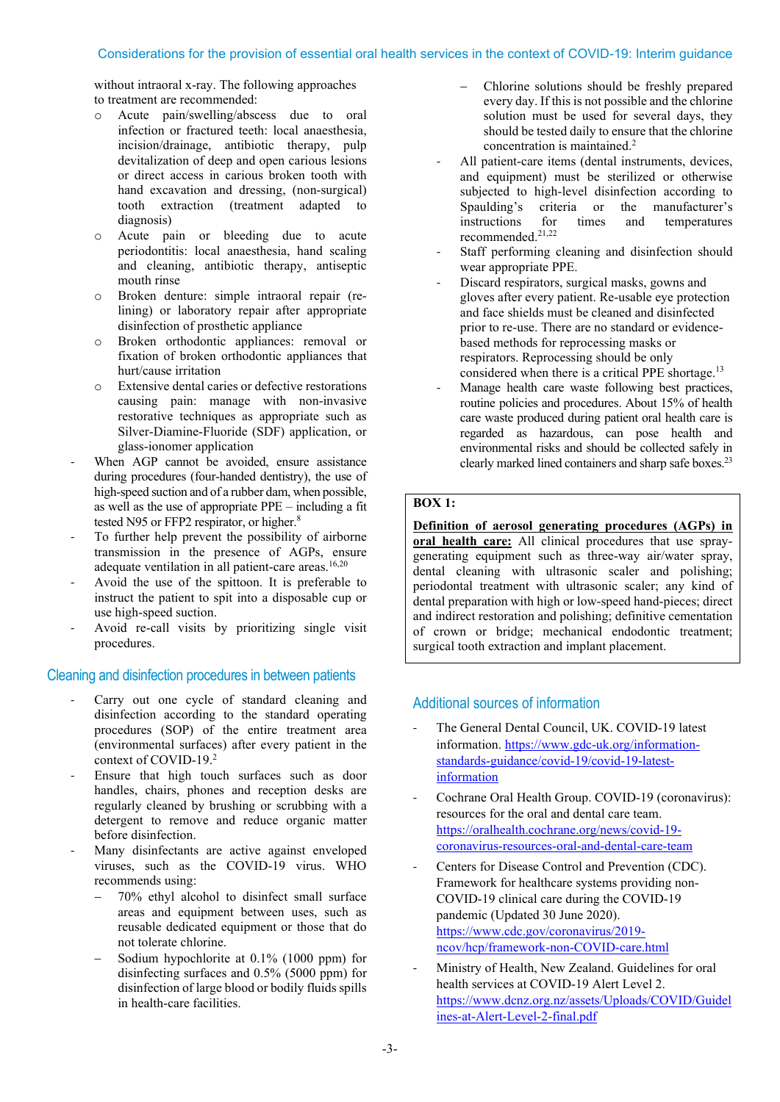## Considerations for the provision of essential oral health services in the context of COVID-19: Interim guidance

without intraoral x-ray. The following approaches to treatment are recommended:

- o Acute pain/swelling/abscess due to oral infection or fractured teeth: local anaesthesia, incision/drainage, antibiotic therapy, pulp devitalization of deep and open carious lesions or direct access in carious broken tooth with hand excavation and dressing, (non-surgical) tooth extraction (treatment adapted to diagnosis)
- o Acute pain or bleeding due to acute periodontitis: local anaesthesia, hand scaling and cleaning, antibiotic therapy, antiseptic mouth rinse
- o Broken denture: simple intraoral repair (relining) or laboratory repair after appropriate disinfection of prosthetic appliance
- o Broken orthodontic appliances: removal or fixation of broken orthodontic appliances that hurt/cause irritation
- o Extensive dental caries or defective restorations causing pain: manage with non-invasive restorative techniques as appropriate such as Silver-Diamine-Fluoride (SDF) application, or glass-ionomer application
- When AGP cannot be avoided, ensure assistance during procedures (four-handed dentistry), the use of high-speed suction and of a rubber dam, when possible, as well as the use of appropriate PPE – including a fit tested N95 or FFP2 respirator, or higher.<sup>8</sup>
- To further help prevent the possibility of airborne transmission in the presence of AGPs, ensure adequate ventilation in all patient-care areas.<sup>16,20</sup>
- Avoid the use of the spittoon. It is preferable to instruct the patient to spit into a disposable cup or use high-speed suction.
- Avoid re-call visits by prioritizing single visit procedures.

#### Cleaning and disinfection procedures in between patients

- Carry out one cycle of standard cleaning and disinfection according to the standard operating procedures (SOP) of the entire treatment area (environmental surfaces) after every patient in the context of COVID-19.2
- Ensure that high touch surfaces such as door handles, chairs, phones and reception desks are regularly cleaned by brushing or scrubbing with a detergent to remove and reduce organic matter before disinfection.
- Many disinfectants are active against enveloped viruses, such as the COVID-19 virus. WHO recommends using:
	- − 70% ethyl alcohol to disinfect small surface areas and equipment between uses, such as reusable dedicated equipment or those that do not tolerate chlorine.
	- − Sodium hypochlorite at 0.1% (1000 ppm) for disinfecting surfaces and 0.5% (5000 ppm) for disinfection of large blood or bodily fluids spills in health-care facilities.
- − Chlorine solutions should be freshly prepared every day. If this is not possible and the chlorine solution must be used for several days, they should be tested daily to ensure that the chlorine concentration is maintained. 2
- All patient-care items (dental instruments, devices, and equipment) must be sterilized or otherwise subjected to high-level disinfection according to Spaulding's criteria or the manufacturer's<br>instructions for times and temperatures temperatures recommended.21,22
- Staff performing cleaning and disinfection should wear appropriate PPE.
- Discard respirators, surgical masks, gowns and gloves after every patient. Re-usable eye protection and face shields must be cleaned and disinfected prior to re-use. There are no standard or evidencebased methods for reprocessing masks or respirators. Reprocessing should be only considered when there is a critical PPE shortage.13
- Manage health care waste following best practices, routine policies and procedures. About 15% of health care waste produced during patient oral health care is regarded as hazardous, can pose health and environmental risks and should be collected safely in clearly marked lined containers and sharp safe boxes.23

#### **BOX 1:**

#### **Definition of aerosol generating procedures (AGPs) in**

**oral health care:** All clinical procedures that use spraygenerating equipment such as three-way air/water spray, dental cleaning with ultrasonic scaler and polishing; periodontal treatment with ultrasonic scaler; any kind of dental preparation with high or low-speed hand-pieces; direct and indirect restoration and polishing; definitive cementation of crown or bridge; mechanical endodontic treatment; surgical tooth extraction and implant placement.

## Additional sources of information

- The General Dental Council, UK. COVID-19 latest information[. https://www.gdc-uk.org/information](https://www.gdc-uk.org/information-standards-guidance/covid-19/covid-19-latest-information)[standards-guidance/covid-19/covid-19-latest](https://www.gdc-uk.org/information-standards-guidance/covid-19/covid-19-latest-information)[information](https://www.gdc-uk.org/information-standards-guidance/covid-19/covid-19-latest-information)
- Cochrane Oral Health Group. COVID-19 (coronavirus): resources for the oral and dental care team. [https://oralhealth.cochrane.org/news/covid-19](https://oralhealth.cochrane.org/news/covid-19-coronavirus-resources-oral-and-dental-care-team) [coronavirus-resources-oral-and-dental-care-team](https://oralhealth.cochrane.org/news/covid-19-coronavirus-resources-oral-and-dental-care-team)
- Centers for Disease Control and Prevention (CDC). Framework for healthcare systems providing non-COVID-19 clinical care during the COVID-19 pandemic (Updated 30 June 2020). [https://www.cdc.gov/coronavirus/2019](https://www.cdc.gov/coronavirus/2019-ncov/hcp/framework-non-COVID-care.html) [ncov/hcp/framework-non-COVID-care.html](https://www.cdc.gov/coronavirus/2019-ncov/hcp/framework-non-COVID-care.html)
- Ministry of Health, New Zealand. Guidelines for oral health services at COVID-19 Alert Level 2. [https://www.dcnz.org.nz/assets/Uploads/COVID/Guidel](https://www.dcnz.org.nz/assets/Uploads/COVID/Guidelines-at-Alert-Level-2-final.pdf) [ines-at-Alert-Level-2-final.pdf](https://www.dcnz.org.nz/assets/Uploads/COVID/Guidelines-at-Alert-Level-2-final.pdf)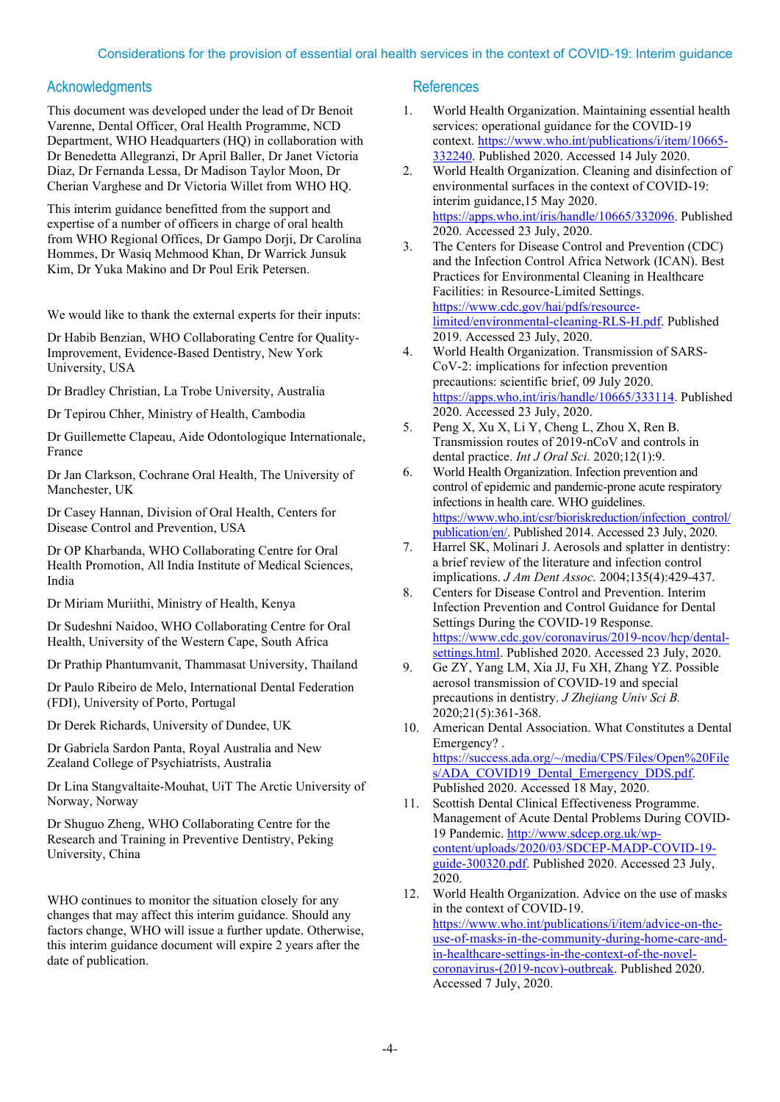### Acknowledgments

This document was developed under the lead of Dr Benoit Varenne, Dental Officer, Oral Health Programme, NCD Department, WHO Headquarters (HQ) in collaboration with Dr Benedetta Allegranzi, Dr April Baller, Dr Janet Victoria Diaz, Dr Fernanda Lessa, Dr Madison Taylor Moon, Dr Cherian Varghese and Dr Victoria Willet from WHO HQ.

This interim guidance benefitted from the support and expertise of a number of officers in charge of oral health from WHO Regional Offices, Dr Gampo Dorji, Dr Carolina Hommes, Dr Wasiq Mehmood Khan, Dr Warrick Junsuk Kim, Dr Yuka Makino and Dr Poul Erik Petersen.

We would like to thank the external experts for their inputs:

Dr Habib Benzian, WHO Collaborating Centre for Quality-Improvement, Evidence-Based Dentistry, New York University, USA

Dr Bradley Christian, La Trobe University, Australia

Dr Tepirou Chher, Ministry of Health, Cambodia

Dr Guillemette Clapeau, Aide Odontologique Internationale, France

Dr Jan Clarkson, Cochrane Oral Health, The University of Manchester, UK

Dr Casey Hannan, Division of Oral Health, Centers for Disease Control and Prevention, USA

Dr OP Kharbanda, WHO Collaborating Centre for Oral Health Promotion, All India Institute of Medical Sciences, India

Dr Miriam Muriithi, Ministry of Health, Kenya

Dr Sudeshni Naidoo, WHO Collaborating Centre for Oral Health, University of the Western Cape, South Africa

Dr Prathip Phantumvanit, Thammasat University, Thailand

Dr Paulo Ribeiro de Melo, International Dental Federation (FDI), University of Porto, Portugal

Dr Derek Richards, University of Dundee, UK

Dr Gabriela Sardon Panta, Royal Australia and New Zealand College of Psychiatrists, Australia

Dr Lina Stangvaltaite-Mouhat, UiT The Arctic University of Norway, Norway

Dr Shuguo Zheng, WHO Collaborating Centre for the Research and Training in Preventive Dentistry, Peking University, China

WHO continues to monitor the situation closely for any changes that may affect this interim guidance. Should any factors change, WHO will issue a further update. Otherwise, this interim guidance document will expire 2 years after the date of publication.

#### **References**

- 1. World Health Organization. Maintaining essential health services: operational guidance for the COVID-19 context. [https://www.who.int/publications/i/item/10665-](https://www.who.int/publications/i/item/10665-332240) [332240.](https://www.who.int/publications/i/item/10665-332240) Published 2020. Accessed 14 July 2020.
- 2. World Health Organization. Cleaning and disinfection of environmental surfaces in the context of COVID-19: interim guidance,15 May 2020. [https://apps.who.int/iris/handle/10665/332096.](https://apps.who.int/iris/handle/10665/332096) Published 2020. Accessed 23 July, 2020.
- 3. The Centers for Disease Control and Prevention (CDC) and the Infection Control Africa Network (ICAN). Best Practices for Environmental Cleaning in Healthcare Facilities: in Resource-Limited Settings. [https://www.cdc.gov/hai/pdfs/resource](https://www.cdc.gov/hai/pdfs/resource-limited/environmental-cleaning-RLS-H.pdf)[limited/environmental-cleaning-RLS-H.pdf.](https://www.cdc.gov/hai/pdfs/resource-limited/environmental-cleaning-RLS-H.pdf) Published 2019. Accessed 23 July, 2020.
- 4. World Health Organization. Transmission of SARS-CoV-2: implications for infection prevention precautions: scientific brief, 09 July 2020. [https://apps.who.int/iris/handle/10665/333114.](https://apps.who.int/iris/handle/10665/333114) Published 2020. Accessed 23 July, 2020.
- 5. Peng X, Xu X, Li Y, Cheng L, Zhou X, Ren B. Transmission routes of 2019-nCoV and controls in dental practice. *Int J Oral Sci.* 2020;12(1):9.
- 6. World Health Organization. Infection prevention and control of epidemic and pandemic-prone acute respiratory infections in health care. WHO guidelines. [https://www.who.int/csr/bioriskreduction/infection\\_control/](https://www.who.int/csr/bioriskreduction/infection_control/publication/en/) [publication/en/.](https://www.who.int/csr/bioriskreduction/infection_control/publication/en/) Published 2014. Accessed 23 July, 2020.
- 7. Harrel SK, Molinari J. Aerosols and splatter in dentistry: a brief review of the literature and infection control implications. *J Am Dent Assoc.* 2004;135(4):429-437.
- 8. Centers for Disease Control and Prevention. Interim Infection Prevention and Control Guidance for Dental Settings During the COVID-19 Response. [https://www.cdc.gov/coronavirus/2019-ncov/hcp/dental](https://www.cdc.gov/coronavirus/2019-ncov/hcp/dental-settings.html)[settings.html.](https://www.cdc.gov/coronavirus/2019-ncov/hcp/dental-settings.html) Published 2020. Accessed 23 July, 2020.
- 9. Ge ZY, Yang LM, Xia JJ, Fu XH, Zhang YZ. Possible aerosol transmission of COVID-19 and special precautions in dentistry. *J Zhejiang Univ Sci B.*   $2020;21(5):361-368.$
- 10. American Dental Association. What Constitutes a Dental Emergency? . [https://success.ada.org/~/media/CPS/Files/Open%20File](https://success.ada.org/%7E/media/CPS/Files/Open%20Files/ADA_COVID19_Dental_Emergency_DDS.pdf) s/ADA\_COVID19\_Dental\_Emergency\_DDS.pdf. Published 2020. Accessed 18 May, 2020.
- 11. Scottish Dental Clinical Effectiveness Programme. Management of Acute Dental Problems During COVID-19 Pandemic. [http://www.sdcep.org.uk/wp](http://www.sdcep.org.uk/wp-content/uploads/2020/03/SDCEP-MADP-COVID-19-guide-300320.pdf)[content/uploads/2020/03/SDCEP-MADP-COVID-19](http://www.sdcep.org.uk/wp-content/uploads/2020/03/SDCEP-MADP-COVID-19-guide-300320.pdf) [guide-300320.pdf.](http://www.sdcep.org.uk/wp-content/uploads/2020/03/SDCEP-MADP-COVID-19-guide-300320.pdf) Published 2020. Accessed 23 July, 2020.
- 12. World Health Organization. Advice on the use of masks in the context of COVID-19. [https://www.who.int/publications/i/item/advice-on-the](https://www.who.int/publications/i/item/advice-on-the-use-of-masks-in-the-community-during-home-care-and-in-healthcare-settings-in-the-context-of-the-novel-coronavirus-(2019-ncov)-outbreak)[use-of-masks-in-the-community-during-home-care-and](https://www.who.int/publications/i/item/advice-on-the-use-of-masks-in-the-community-during-home-care-and-in-healthcare-settings-in-the-context-of-the-novel-coronavirus-(2019-ncov)-outbreak)[in-healthcare-settings-in-the-context-of-the-novel](https://www.who.int/publications/i/item/advice-on-the-use-of-masks-in-the-community-during-home-care-and-in-healthcare-settings-in-the-context-of-the-novel-coronavirus-(2019-ncov)-outbreak)[coronavirus-\(2019-ncov\)-outbreak.](https://www.who.int/publications/i/item/advice-on-the-use-of-masks-in-the-community-during-home-care-and-in-healthcare-settings-in-the-context-of-the-novel-coronavirus-(2019-ncov)-outbreak) Published 2020. Accessed 7 July, 2020.